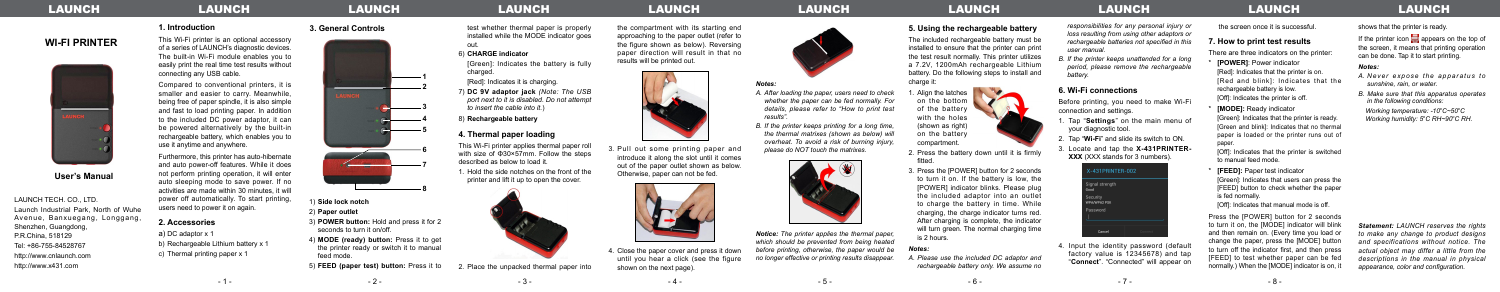**WI-FI PRINTER**

**User's Manual** 

LAUNCH TECH. CO., LTD.

Launch Industrial Park, North of Wuhe Avenue, Banxuegang, Longgang,

Shenzhen, Guangdong, P.R.China, 518129 Tel: +86-755-84528767 http://www.cnlaunch.com http://www.x431.com

## **1. Introduction**

This Wi-Fi printer is an optional accessory of a series of LAUNCH's diagnostic devices. The built-in Wi-Fi module enables you to easily print the real time test results without connecting any USB cable.

Compared to conventional printers, it is smaller and easier to carry. Meanwhile, being free of paper spindle, it is also simple and fast to load printing paper. In addition to the included DC power adaptor, it can be powered alternatively by the built-in rechargeable battery, which enables you to use it anytime and anywhere.

**3. General Controls 1. In the set whether thermal paper is properly** installed while the MODE indicator goes out.

> [Green]: Indicates the battery is fully charged.

[Red]: Indicates it is charging.

Furthermore, this printer has auto-hibernate and auto power-off features. While it does not perform printing operation, it will enter auto sleeping mode to save power. If no activities are made within 30 minutes, it will power off automatically. To start printing, users need to power it on again.

### **2. Accessories**

a) DC adaptor x 1 b) Rechargeable Lithium battery x 1 c) Thermal printing paper x 1

The included rechargeable battery must be installed to ensure that the printer can print the test result normally. This printer utilizes a 7.2V, 1200mAh rechargeable Lithium battery. Do the following steps to install and charge it:

6) **CHARGE indicator**

7) **DC 9V adaptor jack** *(Note: The USB port next to it is disabled. Do not attempt to insert the cable into it.*)

8) **Rechargeable battery** 

## **4. Thermal paper loading**

This Wi-Fi printer applies thermal paper roll with size of Φ30×57mm. Follow the steps described as below to load it.

1. Hold the side notches on the front of the printer and lift it up to open the cover.



2. Place the unpacked thermal paper into



1) **Side lock notch**

2) **Paper outlet**

- 3) **POWER button:** Hold and press it for 2 seconds to turn it on/off.
- 4) **MODE (ready) button:** Press it to get the printer ready or switch it to manual feed mode.
- 5) **FEED (paper test) button:** Press it to

# LAUNCH LAUNCH LAUNCH LAUNCH LAUNCH LAUNCH LAUNCH LAUNCH LAUNCH LAUNCH LAUNCH LAUNCH LAUNCH LAUNCH LAUNCH LAUNCH

4. Input the identity password (default factory value is 12345678) and tap "**Connect**". "Connected" will appear on

the compartment with its starting end approaching to the paper outlet (refer to the figure shown as below). Reversing paper direction will result in that no results will be printed out.



**[FEED]:** Paper test indicator [Green]: Indicates that users can press the [FEED] button to check whether the paper is fed normally.

3. Pull out some printing paper and introduce it along the slot until it comes out of the paper outlet shown as below. Otherwise, paper can not be fed.



4. Close the paper cover and press it down until you hear a click (see the figure shown on the next page).



### **5. Using the rechargeable battery**

If the printer icon  $\blacksquare$  appears on the top of the screen, it means that printing operation can be done. Tap it to start printing.

on the bottom of the battery with the holes (shown as right) on the battery compartment.

**1. Align the latches** 

2. Press the battery down until it is firmly fitted.

3. Press the [POWER] button for 2 seconds to turn it on. If the battery is low, the [POWER] indicator blinks. Please plug the included adaptor into an outlet to charge the battery in time. While charging, the charge indicator turns red. After charging is complete, the indicator will turn green. The normal charging time is 2 hours.

### *Notes:*

*A. Please use the included DC adaptor and rechargeable battery only. We assume no* 

*responsibilities for any personal injury or loss resulting from using other adaptors or rechargeable batteries not specified in this user manual.*

*B. If the printer keeps unattended for a long period, please remove the rechargeable battery.*

## **6. Wi-Fi connections**

Before printing, you need to make Wi-Fi connection and settings.

- 11 Tap "**Settings**" on the main menu of your diagnostic tool.
- 22 Tap "**Wi-Fi**" and slide its switch to ON.
- 33 Locate and tap the **X-431PRINTER-XXX** (XXX stands for 3 numbers).



the screen once it is successful.

## **7. How to print test results**

There are three indicators on the printer:

- **[POWER]**: Power indicator [Red]: Indicates that the printer is on. [Red and blink]: Indicates that the rechargeable battery is low. [Off]: Indicates the printer is off.
- **[MODE]:** Ready indicator

[Green]: Indicates that the printer is ready. [Green and blink]: Indicates that no thermal paper is loaded or the printer runs out of paper.

[Off]: Indicates that the printer is switched to manual feed mode.

[Off]: Indicates that manual mode is off.

Press the [POWER] button for 2 seconds to turn it on, the [MODE] indicator will blink and then remain on. (Every time you load or change the paper, press the [MODE] button to turn off the indicator first, and then press [FEED] to test whether paper can be fed normally.) When the [MODE] indicator is on, it

shows that the printer is ready.

### *Notes:*

- *A. Never expose the apparatus to sunshine, rain, or water.*
- *B. Make sure that this apparatus operates in the following conditions:*

 *Working temperature: -10<sup>o</sup> C~50<sup>o</sup> C Working humidity: 5o C RH~90<sup>o</sup> C RH.*

*Statement: LAUNCH reserves the rights to make any change to product designs and specifications without notice. The actual object may differ a little from the descriptions in the manual in physical appearance, color and configuration.*

*Notes:*

- *A. After loading the paper, users need to check whether the paper can be fed normally. For details, please refer to "How to print test results".*
- *B. If the printer keeps printing for a long time, the thermal matrixes (shown as below) will overheat. To avoid a risk of burning injury, please do NOT touch the matrixes.*

*Notice: The printer applies the thermal paper, which should be prevented from being heated before printing, otherwise, the paper would be no longer effective or printing results disappear.*

- 1 - - 2 - - 3 - - 4 - - 5 - - 6 - - 7 - - 8 -